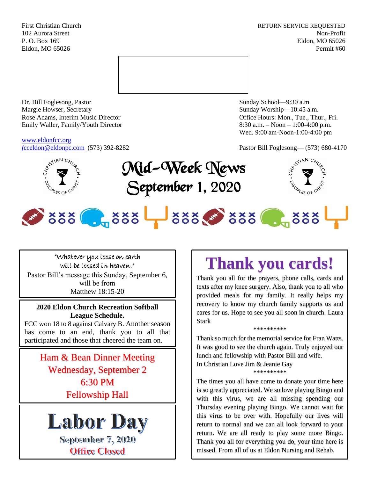First Christian Church **RETURN SERVICE REQUESTED** 102 Aurora Street Non-Profit P. O. Box 169 Eldon, MO 65026 Eldon, MO 65026 Permit #60



Dr. Bill Foglesong, Pastor Sunday School—9:30 a.m. Margie Howser, Secretary Sunday Worship—10:45 a.m. Rose Adams, Interim Music Director **Containers** Controller and Controller Controller Controller Controller and Controller Controller Controller and Controller and Controller and Controller and Controller and Controller and Emily Waller, Family/Youth Director 8:30 a.m. – Noon – 1:00-4:00 p.m.

[www.eldonfcc.org](http://www.eldonfcc.org/)

Wed. 9:00 am-Noon-1:00-4:00 pm







# 388 . 388 388 388 . 388

#### "Whatever you loose on earth will be loosed in heaven."

Pastor Bill's message this Sunday, September 6, will be from Matthew 18:15-20

#### **2020 Eldon Church Recreation Softball League Schedule.**

FCC won 18 to 8 against Calvary B. Another season has come to an end, thank you to all that participated and those that cheered the team on.

> Ham & Bean Dinner Meeting Wednesday, September 2 6:30 PM Fellowship Hall



September 7, 2020 **Office Closed** 

## **Thank you cards!**

Thank you all for the prayers, phone calls, cards and texts after my knee surgery. Also, thank you to all who provided meals for my family. It really helps my recovery to know my church family supports us and cares for us. Hope to see you all soon in church. Laura Stark

#### \*\*\*\*\*\*\*\*\*\*

Thank so much for the memorial service for Fran Watts. It was good to see the church again. Truly enjoyed our lunch and fellowship with Pastor Bill and wife.

In Christian Love Jim & Jeanie Gay \*\*\*\*\*\*\*\*\*\*

The times you all have come to donate your time here is so greatly appreciated. We so love playing Bingo and with this virus, we are all missing spending our Thursday evening playing Bingo. We cannot wait for this virus to be over with. Hopefully our lives will return to normal and we can all look forward to your return. We are all ready to play some more Bingo. Thank you all for everything you do, your time here is missed. From all of us at Eldon Nursing and Rehab.